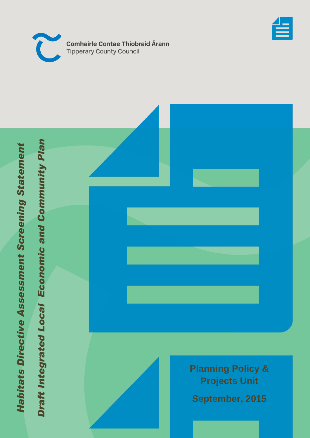



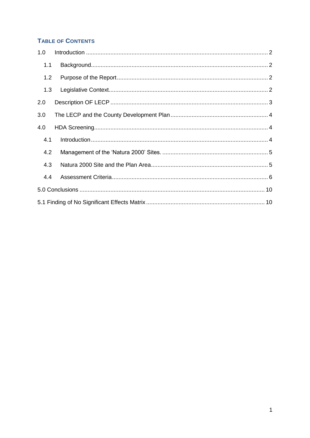# **TABLE OF CONTENTS**

| 1.0 |  |  |  |
|-----|--|--|--|
| 1.1 |  |  |  |
| 1.2 |  |  |  |
| 1.3 |  |  |  |
| 2.0 |  |  |  |
| 3.0 |  |  |  |
| 4.0 |  |  |  |
| 4.1 |  |  |  |
| 4.2 |  |  |  |
| 4.3 |  |  |  |
| 4.4 |  |  |  |
|     |  |  |  |
|     |  |  |  |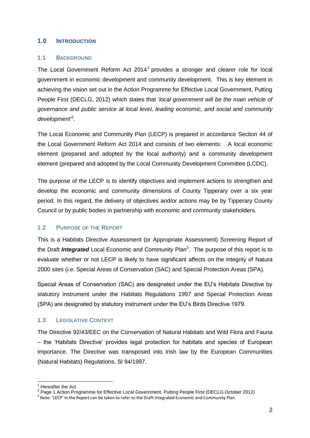### <span id="page-2-0"></span>**1.0 INTRODUCTION**

#### <span id="page-2-1"></span>1.1 BACKGROUND

The Local Government Reform Act  $2014<sup>1</sup>$  provides a stronger and clearer role for local government in economic development and community development. This is key element in achieving the vision set out in the Action Programme for Effective Local Government, Putting People First (DECLG, 2012) which states that '*local government will be the main vehicle of governance and public service at local level, leading economic, and social and community*  development<sup>2</sup>.

The Local Economic and Community Plan (LECP) is prepared in accordance Section 44 of the Local Government Reform Act 2014 and consists of two elements: A local economic element (prepared and adopted by the local authority) and a community development element (prepared and adopted by the Local Community Development Committee (LCDC).

The purpose of the LECP is to identify objectives and implement actions to strengthen and develop the economic and community dimensions of County Tipperary over a six year period. In this regard, the delivery of objectives and/or actions may be by Tipperary County Council or by public bodies in partnership with economic and community stakeholders.

## <span id="page-2-2"></span>1.2 PURPOSE OF THE REPORT

This is a Habitats Directive Assessment (or Appropriate Assessment) Screening Report of the Draft *Integrated* Local Economic and Community Plan<sup>3</sup>. The purpose of this report is to evaluate whether or not LECP is likely to have significant affects on the integrity of Natura 2000 sites (*i.e.* Special Areas of Conservation (SAC) and Special Protection Areas (SPA).

Special Areas of Conservation (SAC) are designated under the EU's Habitats Directive by statutory instrument under the Habitats Regulations 1997 and Special Protection Areas (SPA) are designated by statutory instrument under the EU's Birds Directive 1979.

## <span id="page-2-3"></span>1.3 LEGISLATIVE CONTEXT

The Directive 92/43/EEC on the Conservation of Natural Habitats and Wild Flora and Fauna – the 'Habitats Directive' provides legal protection for habitats and species of European importance. The Directive was transposed into Irish law by the European Communities (Natural Habitats) Regulations, SI 94/1997.

-

<sup>&</sup>lt;sup>1</sup> Hereafter the Act

<sup>&</sup>lt;sup>2</sup>.Page 1 Action Programme for Effective Local Government, Putting People First (DECLG October 2012)

 $3$  Note: 'LECP' in the Report can be taken to refer to the Draft Integrated Economic and Community Plan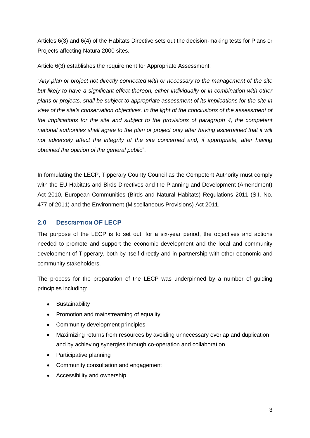Articles 6(3) and 6(4) of the Habitats Directive sets out the decision-making tests for Plans or Projects affecting Natura 2000 sites.

Article 6(3) establishes the requirement for Appropriate Assessment:

"*Any plan or project not directly connected with or necessary to the management of the site but likely to have a significant effect thereon, either individually or in combination with other plans or projects, shall be subject to appropriate assessment of its implications for the site in view of the site's conservation objectives. In the light of the conclusions of the assessment of the implications for the site and subject to the provisions of paragraph 4, the competent national authorities shall agree to the plan or project only after having ascertained that it will*  not adversely affect the integrity of the site concerned and, if appropriate, after having *obtained the opinion of the general public*".

In formulating the LECP, Tipperary County Council as the Competent Authority must comply with the EU Habitats and Birds Directives and the Planning and Development (Amendment) Act 2010, European Communities (Birds and Natural Habitats) Regulations 2011 (S.I. No. 477 of 2011) and the Environment (Miscellaneous Provisions) Act 2011.

# <span id="page-3-0"></span>**2.0 DESCRIPTION OF LECP**

The purpose of the LECP is to set out, for a six-year period, the objectives and actions needed to promote and support the economic development and the local and community development of Tipperary, both by itself directly and in partnership with other economic and community stakeholders.

The process for the preparation of the LECP was underpinned by a number of guiding principles including:

- Sustainability
- Promotion and mainstreaming of equality
- Community development principles
- Maximizing returns from resources by avoiding unnecessary overlap and duplication and by achieving synergies through co-operation and collaboration
- Participative planning
- Community consultation and engagement
- Accessibility and ownership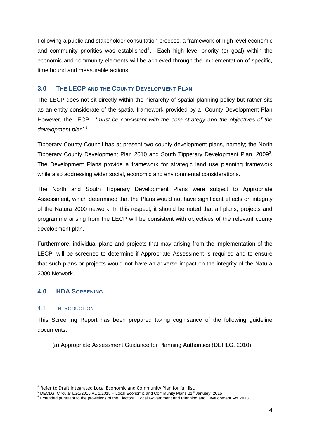Following a public and stakeholder consultation process, a framework of high level economic and community priorities was established<sup>4</sup>. Each high level priority (or goal) within the economic and community elements will be achieved through the implementation of specific, time bound and measurable actions.

## <span id="page-4-0"></span>**3.0 THE LECP AND THE COUNTY DEVELOPMENT PLAN**

The LECP does not sit directly within the hierarchy of spatial planning policy but rather sits as an entity considerate of the spatial framework provided by a County Development Plan However, the LECP '*must be consistent with the core strategy and the objectives of the development plan*'. 5

Tipperary County Council has at present two county development plans, namely; the North Tipperary County Development Plan 2010 and South Tipperary Development Plan, 2009<sup>6</sup>. The Development Plans provide a framework for strategic land use planning framework while also addressing wider social, economic and environmental considerations.

The North and South Tipperary Development Plans were subject to Appropriate Assessment, which determined that the Plans would not have significant effects on integrity of the Natura 2000 network. In this respect, it should be noted that all plans, projects and programme arising from the LECP will be consistent with objectives of the relevant county development plan.

Furthermore, individual plans and projects that may arising from the implementation of the LECP, will be screened to determine if Appropriate Assessment is required and to ensure that such plans or projects would not have an adverse impact on the integrity of the Natura 2000 Network.

## <span id="page-4-1"></span>**4.0 HDA SCREENING**

#### <span id="page-4-2"></span>4.1 INTRODUCTION

-

This Screening Report has been prepared taking cognisance of the following guideline documents:

(a) Appropriate Assessment Guidance for Planning Authorities (DEHLG, 2010).

<sup>4</sup> Refer to Draft Integrated Local Economic and Community Plan for full list.

<sup>5</sup> DECLG: Circular LG1/2015;AL 1/2015 – Local Economic and Community Plans 21st January, 2015

<sup>6</sup> Extended pursuant to the provisions of the Electoral, Local Government and Planning and Development Act 2013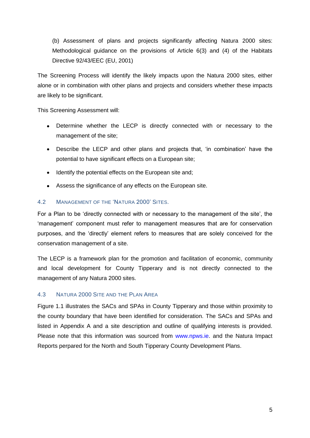(b) Assessment of plans and projects significantly affecting Natura 2000 sites: Methodological guidance on the provisions of Article 6(3) and (4) of the Habitats Directive 92/43/EEC (EU, 2001)

The Screening Process will identify the likely impacts upon the Natura 2000 sites, either alone or in combination with other plans and projects and considers whether these impacts are likely to be significant.

This Screening Assessment will:

- Determine whether the LECP is directly connected with or necessary to the  $\bullet$ management of the site;
- Describe the LECP and other plans and projects that, 'in combination' have the potential to have significant effects on a European site;
- Identify the potential effects on the European site and;
- Assess the significance of any effects on the European site.

#### <span id="page-5-0"></span>4.2 MANAGEMENT OF THE 'NATURA 2000' SITES.

For a Plan to be 'directly connected with or necessary to the management of the site', the 'management' component must refer to management measures that are for conservation purposes, and the 'directly' element refers to measures that are solely conceived for the conservation management of a site.

The LECP is a framework plan for the promotion and facilitation of economic, community and local development for County Tipperary and is not directly connected to the management of any Natura 2000 sites.

#### <span id="page-5-1"></span>4.3 NATURA 2000 SITE AND THE PLAN AREA

Figure 1.1 illustrates the SACs and SPAs in County Tipperary and those within proximity to the county boundary that have been identified for consideration. The SACs and SPAs and listed in Appendix A and a site description and outline of qualifying interests is provided. Please note that this information was sourced from www.npws.ie. and the Natura Impact Reports perpared for the North and South Tipperary County Development Plans.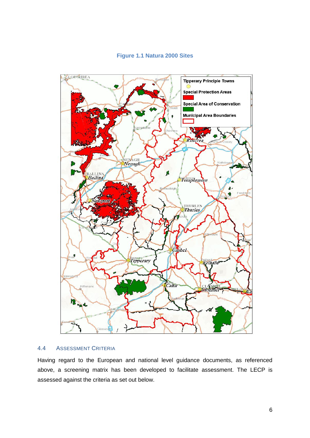

### **Figure 1.1 Natura 2000 Sites**

#### <span id="page-6-0"></span>4.4 ASSESSMENT CRITERIA

Having regard to the European and national level guidance documents, as referenced above, a screening matrix has been developed to facilitate assessment. The LECP is assessed against the criteria as set out below.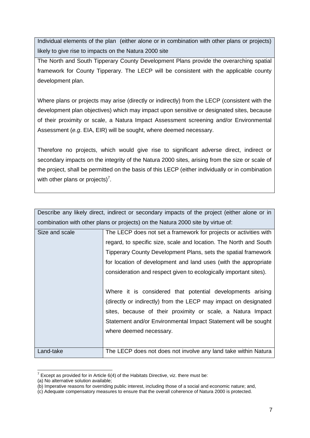Individual elements of the plan (either alone or in combination with other plans or projects) likely to give rise to impacts on the Natura 2000 site

The North and South Tipperary County Development Plans provide the overarching spatial framework for County Tipperary. The LECP will be consistent with the applicable county development plan.

Where plans or projects may arise (directly or indirectly) from the LECP (consistent with the development plan objectives) which may impact upon sensitive or designated sites, because of their proximity or scale, a Natura Impact Assessment screening and/or Environmental Assessment (*e.g*. EIA, EIR) will be sought, where deemed necessary.

Therefore no projects, which would give rise to significant adverse direct, indirect or secondary impacts on the integrity of the Natura 2000 sites, arising from the size or scale of the project, shall be permitted on the basis of this LECP (either individually or in combination with other plans or projects)<sup>7</sup>.

| Describe any likely direct, indirect or secondary impacts of the project (either alone or in |                                                                                 |  |  |  |
|----------------------------------------------------------------------------------------------|---------------------------------------------------------------------------------|--|--|--|
|                                                                                              | combination with other plans or projects) on the Natura 2000 site by virtue of: |  |  |  |
| Size and scale                                                                               | The LECP does not set a framework for projects or activities with               |  |  |  |
|                                                                                              | regard, to specific size, scale and location. The North and South               |  |  |  |
|                                                                                              | Tipperary County Development Plans, sets the spatial framework                  |  |  |  |
|                                                                                              | for location of development and land uses (with the appropriate                 |  |  |  |
|                                                                                              | consideration and respect given to ecologically important sites).               |  |  |  |
|                                                                                              |                                                                                 |  |  |  |
|                                                                                              | Where it is considered that potential developments arising                      |  |  |  |
|                                                                                              | (directly or indirectly) from the LECP may impact on designated                 |  |  |  |
|                                                                                              | sites, because of their proximity or scale, a Natura Impact                     |  |  |  |
|                                                                                              | Statement and/or Environmental Impact Statement will be sought                  |  |  |  |
|                                                                                              | where deemed necessary.                                                         |  |  |  |
|                                                                                              |                                                                                 |  |  |  |
| Land-take                                                                                    | The LECP does not does not involve any land take within Natura                  |  |  |  |

 $7$  Except as provided for in Article 6(4) of the Habitats Directive, viz. there must be:

 $\overline{a}$ 

<sup>(</sup>a) No alternative solution available;

<sup>(</sup>b) Imperative reasons for overriding public interest, including those of a social and economic nature; and,

<sup>(</sup>c) Adequate compensatory measures to ensure that the overall coherence of Natura 2000 is protected.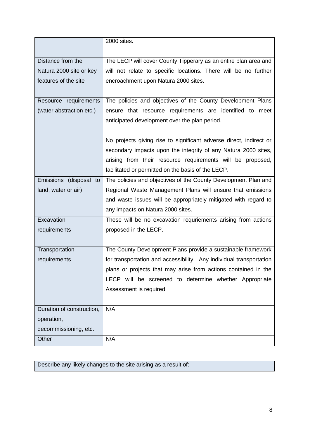|                           | 2000 sites.                                                         |
|---------------------------|---------------------------------------------------------------------|
|                           |                                                                     |
| Distance from the         | The LECP will cover County Tipperary as an entire plan area and     |
| Natura 2000 site or key   | will not relate to specific locations. There will be no further     |
| features of the site      | encroachment upon Natura 2000 sites.                                |
|                           |                                                                     |
| Resource requirements     | The policies and objectives of the County Development Plans         |
| (water abstraction etc.)  | ensure that resource requirements are identified to meet            |
|                           | anticipated development over the plan period.                       |
|                           |                                                                     |
|                           | No projects giving rise to significant adverse direct, indirect or  |
|                           | secondary impacts upon the integrity of any Natura 2000 sites,      |
|                           | arising from their resource requirements will be proposed,          |
|                           | facilitated or permitted on the basis of the LECP.                  |
| Emissions (disposal to    | The policies and objectives of the County Development Plan and      |
| land, water or air)       | Regional Waste Management Plans will ensure that emissions          |
|                           | and waste issues will be appropriately mitigated with regard to     |
|                           | any impacts on Natura 2000 sites.                                   |
| Excavation                | These will be no excavation requriements arising from actions       |
| requirements              | proposed in the LECP.                                               |
|                           |                                                                     |
| Transportation            | The County Development Plans provide a sustainable framework        |
| requirements              | for transportation and accessibility. Any individual transportation |
|                           | plans or projects that may arise from actions contained in the      |
|                           | LECP will be screened to determine whether Appropriate              |
|                           | Assessment is required.                                             |
|                           |                                                                     |
| Duration of construction, | N/A                                                                 |
| operation,                |                                                                     |
| decommissioning, etc.     |                                                                     |
| Other                     | N/A                                                                 |

Describe any likely changes to the site arising as a result of: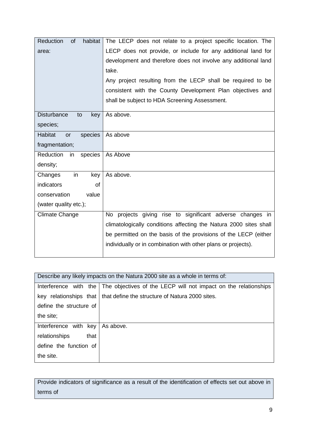| Reduction<br><b>of</b><br>habitat | The LECP does not relate to a project specific location. The      |
|-----------------------------------|-------------------------------------------------------------------|
| area:                             | LECP does not provide, or include for any additional land for     |
|                                   | development and therefore does not involve any additional land    |
|                                   | take.                                                             |
|                                   | Any project resulting from the LECP shall be required to be       |
|                                   | consistent with the County Development Plan objectives and        |
|                                   | shall be subject to HDA Screening Assessment.                     |
| <b>Disturbance</b><br>to<br>key   | As above.                                                         |
| species;                          |                                                                   |
| Habitat<br>species<br>or          | As above                                                          |
| fragmentation;                    |                                                                   |
| Reduction<br>in<br>species        | As Above                                                          |
| density;                          |                                                                   |
| Changes<br>in<br>key              | As above.                                                         |
| indicators<br>Ωf                  |                                                                   |
| value<br>conservation             |                                                                   |
| (water quality etc.);             |                                                                   |
| <b>Climate Change</b>             | No projects giving rise to significant adverse changes in         |
|                                   | climatologically conditions affecting the Natura 2000 sites shall |
|                                   | be permitted on the basis of the provisions of the LECP (either   |
|                                   | individually or in combination with other plans or projects).     |
|                                   |                                                                   |

| Describe any likely impacts on the Natura 2000 site as a whole in terms of: |                                                                 |  |  |
|-----------------------------------------------------------------------------|-----------------------------------------------------------------|--|--|
| Interference with the                                                       | The objectives of the LECP will not impact on the relationships |  |  |
| key relationships that                                                      | that define the structure of Natura 2000 sites.                 |  |  |
| define the structure of                                                     |                                                                 |  |  |
| the site;                                                                   |                                                                 |  |  |
| Interference with key                                                       | As above.                                                       |  |  |
| relationships<br>that                                                       |                                                                 |  |  |
| define the function of                                                      |                                                                 |  |  |
| the site.                                                                   |                                                                 |  |  |

Provide indicators of significance as a result of the identification of effects set out above in terms of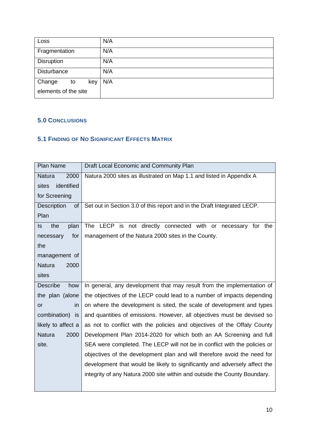| Loss                 | N/A |
|----------------------|-----|
| Fragmentation        | N/A |
| <b>Disruption</b>    | N/A |
| Disturbance          | N/A |
| Change<br>key<br>to  | N/A |
| elements of the site |     |

# <span id="page-10-0"></span>**5.0 CONCLUSIONS**

# <span id="page-10-1"></span>**5.1 FINDING OF NO SIGNIFICANT EFFECTS MATRIX**

| Plan Name                                                                                       | Draft Local Economic and Community Plan                                    |
|-------------------------------------------------------------------------------------------------|----------------------------------------------------------------------------|
| <b>Natura</b><br>2000                                                                           | Natura 2000 sites as illustrated on Map 1.1 and listed in Appendix A       |
| identified<br>sites                                                                             |                                                                            |
| for Screening                                                                                   |                                                                            |
| Description<br>0f                                                                               | Set out in Section 3.0 of this report and in the Draft Integrated LECP.    |
| Plan                                                                                            |                                                                            |
| the<br>plan<br>ls.                                                                              | The LECP is not directly connected with or<br>necessary for the            |
| for<br>necessary                                                                                | management of the Natura 2000 sites in the County.                         |
| the                                                                                             |                                                                            |
| management of                                                                                   |                                                                            |
| <b>Natura</b><br>2000                                                                           |                                                                            |
| sites                                                                                           |                                                                            |
| <b>Describe</b><br>how                                                                          | In general, any development that may result from the implementation of     |
| the plan (alone                                                                                 | the objectives of the LECP could lead to a number of impacts depending     |
| in<br><b>or</b>                                                                                 | on where the development is sited, the scale of development and types      |
| combination)<br>and quantities of emissions. However, all objectives must be devised so<br>is i |                                                                            |
| likely to affect a                                                                              | as not to conflict with the policies and objectives of the Offaly County   |
| <b>Natura</b><br>2000                                                                           | Development Plan 2014-2020 for which both an AA Screening and full         |
| site.                                                                                           | SEA were completed. The LECP will not be in conflict with the policies or  |
|                                                                                                 | objectives of the development plan and will therefore avoid the need for   |
|                                                                                                 | development that would be likely to significantly and adversely affect the |
|                                                                                                 | integrity of any Natura 2000 site within and outside the County Boundary.  |
|                                                                                                 |                                                                            |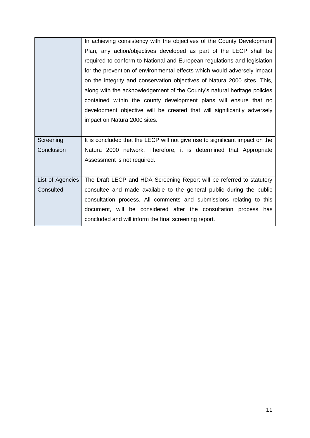|                  | In achieving consistency with the objectives of the County Development        |  |  |  |
|------------------|-------------------------------------------------------------------------------|--|--|--|
|                  | Plan, any action/objectives developed as part of the LECP shall be            |  |  |  |
|                  | required to conform to National and European regulations and legislation      |  |  |  |
|                  | for the prevention of environmental effects which would adversely impact      |  |  |  |
|                  | on the integrity and conservation objectives of Natura 2000 sites. This,      |  |  |  |
|                  | along with the acknowledgement of the County's natural heritage policies      |  |  |  |
|                  | contained within the county development plans will ensure that no             |  |  |  |
|                  | development objective will be created that will significantly adversely       |  |  |  |
|                  | impact on Natura 2000 sites.                                                  |  |  |  |
|                  |                                                                               |  |  |  |
| Screening        | It is concluded that the LECP will not give rise to significant impact on the |  |  |  |
| Conclusion       | Natura 2000 network. Therefore, it is determined that Appropriate             |  |  |  |
|                  | Assessment is not required.                                                   |  |  |  |
|                  |                                                                               |  |  |  |
| List of Agencies | The Draft LECP and HDA Screening Report will be referred to statutory         |  |  |  |
| Consulted        | consultee and made available to the general public during the public          |  |  |  |
|                  | consultation process. All comments and submissions relating to this           |  |  |  |
|                  | document, will be considered after the consultation process has               |  |  |  |
|                  | concluded and will inform the final screening report.                         |  |  |  |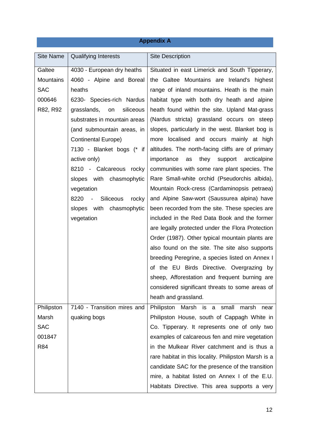# **Appendix A**

| <b>Site Name</b> | <b>Qualifying Interests</b>                            | <b>Site Description</b>                              |
|------------------|--------------------------------------------------------|------------------------------------------------------|
| Galtee           | 4030 - European dry heaths                             | Situated in east Limerick and South Tipperary,       |
| <b>Mountains</b> | 4060 - Alpine and Boreal                               | the Galtee Mountains are Ireland's highest           |
| <b>SAC</b>       | heaths                                                 | range of inland mountains. Heath is the main         |
| 000646           | 6230- Species-rich Nardus                              | habitat type with both dry heath and alpine          |
| R82, R92         | grasslands,<br>siliceous<br>on                         | heath found within the site. Upland Mat-grass        |
|                  | substrates in mountain areas                           | (Nardus stricta) grassland occurs on steep           |
|                  | (and submountain areas, in                             | slopes, particularly in the west. Blanket bog is     |
|                  | <b>Continental Europe)</b>                             | more localised and occurs mainly at high             |
|                  | 7130 - Blanket bogs (* if                              | altitudes. The north-facing cliffs are of primary    |
|                  | active only)                                           | they<br>importance<br>support<br>arcticalpine<br>as  |
|                  | 8210 - Calcareous rocky                                | communities with some rare plant species. The        |
|                  | slopes with chasmophytic                               | Rare Small-white orchid (Pseudorchis albida),        |
|                  | vegetation                                             | Mountain Rock-cress (Cardaminopsis petraea)          |
|                  | Siliceous<br>rocky<br>8220<br>$\overline{\phantom{a}}$ | and Alpine Saw-wort (Saussurea alpina) have          |
|                  | with<br>chasmophytic<br>slopes                         | been recorded from the site. These species are       |
|                  | vegetation                                             | included in the Red Data Book and the former         |
|                  |                                                        | are legally protected under the Flora Protection     |
|                  |                                                        | Order (1987). Other typical mountain plants are      |
|                  |                                                        | also found on the site. The site also supports       |
|                  |                                                        | breeding Peregrine, a species listed on Annex I      |
|                  |                                                        | of the EU Birds Directive. Overgrazing by            |
|                  |                                                        | sheep, Afforestation and frequent burning are        |
|                  |                                                        | considered significant threats to some areas of      |
|                  |                                                        | heath and grassland.                                 |
| Philipston       | 7140 - Transition mires and                            | Philipston Marsh is a<br>small<br>marsh<br>near      |
| Marsh            | quaking bogs                                           | Philipston House, south of Cappagh White in          |
| <b>SAC</b>       |                                                        | Co. Tipperary. It represents one of only two         |
| 001847           |                                                        | examples of calcareous fen and mire vegetation       |
| <b>R84</b>       |                                                        | in the Mulkear River catchment and is thus a         |
|                  |                                                        | rare habitat in this locality. Philipston Marsh is a |
|                  |                                                        | candidate SAC for the presence of the transition     |
|                  |                                                        | mire, a habitat listed on Annex I of the E.U.        |
|                  |                                                        | Habitats Directive. This area supports a very        |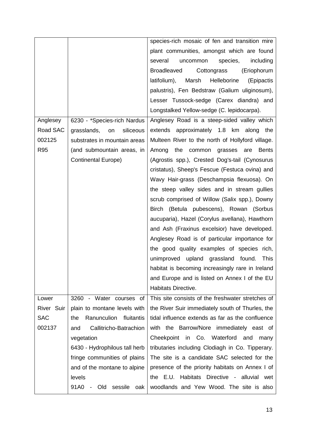|            |                                | species-rich mosaic of fen and transition mire           |
|------------|--------------------------------|----------------------------------------------------------|
|            |                                | plant communities, amongst which are found               |
|            |                                | species,<br>including<br>several<br>uncommon             |
|            |                                | <b>Broadleaved</b><br>Cottongrass<br>(Eriophorum         |
|            |                                | latifolium),<br>Marsh<br>Helleborine<br>(Epipactis       |
|            |                                | palustris), Fen Bedstraw (Galium uliginosum),            |
|            |                                | Lesser Tussock-sedge (Carex diandra) and                 |
|            |                                | Longstalked Yellow-sedge (C. lepidocarpa).               |
| Anglesey   | 6230 - *Species-rich Nardus    | Anglesey Road is a steep-sided valley which              |
| Road SAC   | grasslands,<br>siliceous<br>on | extends approximately 1.8 km along the                   |
| 002125     | substrates in mountain areas   | Multeen River to the north of Hollyford village.         |
| R95        | (and submountain areas, in     | Among<br>the<br>common<br>grasses<br><b>Bents</b><br>are |
|            | <b>Continental Europe)</b>     | (Agrostis spp.), Crested Dog's-tail (Cynosurus           |
|            |                                | cristatus), Sheep's Fescue (Festuca ovina) and           |
|            |                                | Wavy Hair-grass (Deschampsia flexuosa). On               |
|            |                                | the steep valley sides and in stream gullies             |
|            |                                | scrub comprised of Willow (Salix spp.), Downy            |
|            |                                | Birch (Betula pubescens), Rowan (Sorbus                  |
|            |                                | aucuparia), Hazel (Corylus avellana), Hawthorn           |
|            |                                | and Ash (Fraxinus excelsior) have developed.             |
|            |                                | Anglesey Road is of particular importance for            |
|            |                                | the good quality examples of species rich,               |
|            |                                | unimproved upland grassland found.<br>This               |
|            |                                | habitat is becoming increasingly rare in Ireland         |
|            |                                | and Europe and is listed on Annex I of the EU            |
|            |                                | Habitats Directive.                                      |
| Lower      | 3260 - Water courses of        | This site consists of the freshwater stretches of        |
| River Suir | plain to montane levels with   | the River Suir immediately south of Thurles, the         |
| <b>SAC</b> | Ranunculion fluitantis<br>the  | tidal influence extends as far as the confluence         |
| 002137     | Callitricho-Batrachion<br>and  | with the Barrow/Nore immediately east of                 |
|            | vegetation                     | Cheekpoint<br>in Co. Waterford and<br>many               |
|            | 6430 - Hydrophilous tall herb  | tributaries including Clodiagh in Co. Tipperary.         |
|            | fringe communities of plains   | The site is a candidate SAC selected for the             |
|            | and of the montane to alpine   | presence of the priority habitats on Annex I of          |
|            | levels                         | the E.U. Habitats Directive - alluvial wet               |
|            | 91A0<br>Old sessile<br>oak     | woodlands and Yew Wood. The site is also                 |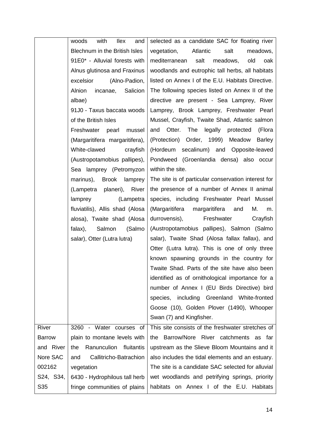|               | with<br>woods<br><b>Ilex</b><br>and | selected as a candidate SAC for floating river      |
|---------------|-------------------------------------|-----------------------------------------------------|
|               | Blechnum in the British Isles       | Atlantic<br>salt<br>vegetation,<br>meadows,         |
|               | 91E0* - Alluvial forests with       | salt meadows,<br>old<br>mediterranean<br>oak        |
|               | Alnus glutinosa and Fraxinus        | woodlands and eutrophic tall herbs, all habitats    |
|               | excelsior<br>(Alno-Padion,          | listed on Annex I of the E.U. Habitats Directive.   |
|               | Alnion<br>incanae, Salicion         | The following species listed on Annex II of the     |
|               | albae)                              | directive are present - Sea Lamprey, River          |
|               | 91J0 - Taxus baccata woods          | Lamprey, Brook Lamprey, Freshwater Pearl            |
|               | of the British Isles                | Mussel, Crayfish, Twaite Shad, Atlantic salmon      |
|               | Freshwater<br>pearl<br>mussel       | and Otter. The legally<br>protected<br>(Flora       |
|               | (Margaritifera margaritifera),      | (Protection) Order, 1999) Meadow<br><b>Barley</b>   |
|               | White-clawed<br>crayfish            | (Hordeum secalinum) and Opposite-leaved             |
|               | (Austropotamobius pallipes),        | Pondweed (Groenlandia densa) also occur             |
|               | Sea lamprey (Petromyzon             | within the site.                                    |
|               | marinus), Brook lamprey             | The site is of particular conservation interest for |
|               | (Lampetra planeri), River           | the presence of a number of Annex II animal         |
|               | lamprey<br>(Lampetra                | species, including Freshwater Pearl Mussel          |
|               | fluviatilis), Allis shad (Alosa     | (Margaritifera margaritifera and<br>М.<br>m.        |
|               | alosa), Twaite shad (Alosa          | durrovensis),<br>Freshwater<br>Crayfish             |
|               | Salmon<br>(Salmo<br>falax),         | (Austropotamobius pallipes), Salmon (Salmo          |
|               | salar), Otter (Lutra lutra)         | salar), Twaite Shad (Alosa fallax fallax), and      |
|               |                                     | Otter (Lutra lutra). This is one of only three      |
|               |                                     | known spawning grounds in the country for           |
|               |                                     | Twaite Shad. Parts of the site have also been       |
|               |                                     | identified as of ornithological importance for a    |
|               |                                     | number of Annex I (EU Birds Directive) bird         |
|               |                                     | species, including Greenland White-fronted          |
|               |                                     | Goose (10), Golden Plover (1490), Whooper           |
|               |                                     | Swan (7) and Kingfisher.                            |
| <b>River</b>  | 3260 - Water courses of             | This site consists of the freshwater stretches of   |
| <b>Barrow</b> | plain to montane levels with        | the Barrow/Nore River catchments as far             |
| and River     | Ranunculion<br>fluitantis<br>the    | upstream as the Slieve Bloom Mountains and it       |
| Nore SAC      | Callitricho-Batrachion<br>and       | also includes the tidal elements and an estuary.    |
| 002162        | vegetation                          | The site is a candidate SAC selected for alluvial   |
| S24, S34,     | 6430 - Hydrophilous tall herb       | wet woodlands and petrifying springs, priority      |
| S35           | fringe communities of plains        | habitats on Annex I of the E.U. Habitats            |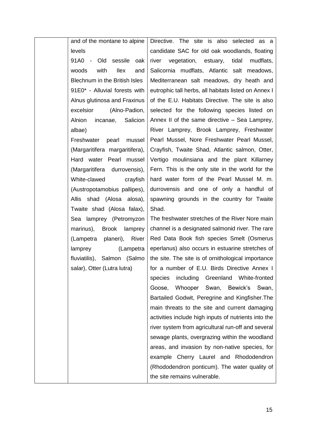| and of the montane to alpine   | <b>Direct</b> |
|--------------------------------|---------------|
| levels                         | candio        |
| 91A0 - Old sessile oak         | river         |
| woods with<br>llex and         | Salicc        |
| Blechnum in the British Isles  | Medit         |
| 91E0* - Alluvial forests with  | eutrop        |
| Alnus glutinosa and Fraxinus   | of the        |
| excelsior (Alno-Padion,        | select        |
| Alnion incanae, Salicion       | Annex         |
| albae)                         | River         |
| Freshwater pearl mussel        | Pearl         |
| (Margaritifera margaritifera), | Crayfi        |
| Hard water Pearl mussel        | Vertig        |
| (Margaritifera durrovensis),   | Fern.         |
| White-clawed crayfish          | hard          |
| (Austropotamobius pallipes),   | durrov        |
| Allis shad (Alosa alosa),      | spawr         |
| Twaite shad (Alosa falax),     | Shad.         |
| Sea lamprey (Petromyzon        | The fr        |
| marinus), Brook lamprey        | chanr         |
| (Lampetra planeri), River      | Red           |
| (Lampetra<br>lamprey           | eperla        |
| fluviatilis), Salmon (Salmo    | the si        |
| salar), Otter (Lutra lutra)    | for a         |
|                                | specie        |
|                                | Goos          |
|                                | <b>Bartai</b> |
|                                | main          |
|                                | activit       |
|                                | river s       |
|                                | sewa          |
|                                | areas         |
|                                | exam          |
|                                | (Rhoc         |
|                                | the sit       |

tive. The site is also selected as a idate SAC for old oak woodlands, floating vegetation, estuary, tidal mudflats, ornia mudflats, Atlantic salt meadows, terranean salt meadows, dry heath and phic tall herbs, all habitats listed on Annex I e E.U. Habitats Directive. The site is also ted for the following species listed on  $\mathsf{A}$  II of the same directive – Sea Lamprey, Lamprey, Brook Lamprey, Freshwater Mussel, Nore Freshwater Pearl Mussel. fish, Twaite Shad, Atlantic salmon, Otter, go moulinsiana and the plant Killarney This is the only site in the world for the water form of the Pearl Mussel M. m. vensis and one of only a handful of ning grounds in the country for Twaite

freshwater stretches of the River Nore main nel is a designated salmonid river. The rare Data Book fish species Smelt (Osmerus anus) also occurs in estuarine stretches of ite. The site is of ornithological importance number of E.U. Birds Directive Annex I les including Greenland White-fronted e, Whooper Swan, Bewick's Swan, iled Godwit, Peregrine and Kingfisher.The threats to the site and current damaging ities include high inputs of nutrients into the system from agricultural run-off and several ge plants, overgrazing within the woodland s, and invasion by non-native species, for ple Cherry Laurel and Rhododendron dodendron ponticum). The water quality of ite remains vulnerable.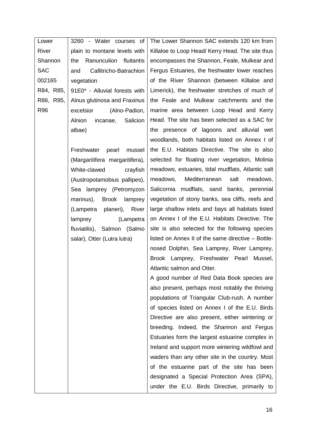| Lower                                       | 3260 - Water courses of        | The Lower Shannon SAC extends 120 km from          |
|---------------------------------------------|--------------------------------|----------------------------------------------------|
| River<br>plain to montane levels with       |                                | Killaloe to Loop Head/ Kerry Head. The site thus   |
| Shannon<br>Ranunculion fluitantis<br>the    |                                | encompasses the Shannon, Feale, Mulkear and        |
| <b>SAC</b><br>Callitricho-Batrachion<br>and |                                | Fergus Estuaries, the freshwater lower reaches     |
| 002165<br>vegetation                        |                                | of the River Shannon (between Killaloe and         |
| R84, R85,                                   | 91E0* - Alluvial forests with  | Limerick), the freshwater stretches of much of     |
| R86, R95,                                   | Alnus glutinosa and Fraxinus   | the Feale and Mulkear catchments and the           |
| R96                                         | excelsior<br>(Alno-Padion,     | marine area between Loop Head and Kerry            |
|                                             | Alnion<br>incanae, Salicion    | Head. The site has been selected as a SAC for      |
|                                             | albae)                         | the presence of lagoons and alluvial wet           |
|                                             |                                | woodlands, both habitats listed on Annex I of      |
|                                             | Freshwater<br>pearl<br>mussel  | the E.U. Habitats Directive. The site is also      |
|                                             | (Margaritifera margaritifera), | selected for floating river vegetation, Molinia    |
|                                             | White-clawed<br>crayfish       | meadows, estuaries, tidal mudflats, Atlantic salt  |
|                                             | (Austropotamobius pallipes),   | Mediterranean<br>salt<br>meadows,<br>meadows,      |
|                                             | Sea lamprey (Petromyzon        | mudflats, sand banks, perennial<br>Salicornia      |
|                                             | marinus),<br>Brook lamprey     | vegetation of stony banks, sea cliffs, reefs and   |
|                                             | planeri), River<br>(Lampetra   | large shallow inlets and bays all habitats listed  |
|                                             | (Lampetra<br>lamprey           | on Annex I of the E.U. Habitats Directive. The     |
|                                             | fluviatilis), Salmon (Salmo    | site is also selected for the following species    |
|                                             | salar), Otter (Lutra lutra)    | listed on Annex II of the same directive - Bottle- |
|                                             |                                | nosed Dolphin, Sea Lamprey, River Lamprey,         |
|                                             |                                | Brook Lamprey, Freshwater Pearl<br>Mussel,         |
|                                             |                                | Atlantic salmon and Otter.                         |
|                                             |                                | A good number of Red Data Book species are         |
|                                             |                                | also present, perhaps most notably the thriving    |
|                                             |                                | populations of Triangular Club-rush. A number      |
|                                             |                                | of species listed on Annex I of the E.U. Birds     |
|                                             |                                | Directive are also present, either wintering or    |
|                                             |                                | breeding. Indeed, the Shannon and Fergus           |
|                                             |                                | Estuaries form the largest estuarine complex in    |
|                                             |                                | Ireland and support more wintering wildfowl and    |
|                                             |                                | waders than any other site in the country. Most    |
|                                             |                                | of the estuarine part of the site has been         |
|                                             |                                | designated a Special Protection Area (SPA),        |
|                                             |                                | under the E.U. Birds Directive, primarily to       |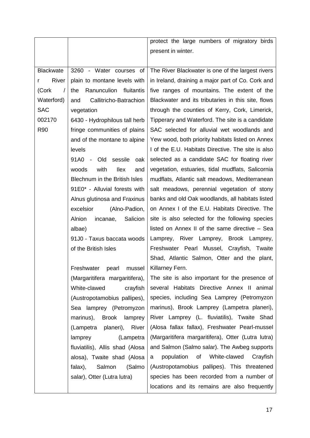|                   |                                     | protect the large numbers of migratory birds       |
|-------------------|-------------------------------------|----------------------------------------------------|
|                   |                                     | present in winter.                                 |
|                   |                                     |                                                    |
| <b>Blackwate</b>  | 3260 - Water courses of             | The River Blackwater is one of the largest rivers  |
| River<br>r        | plain to montane levels with        | in Ireland, draining a major part of Co. Cork and  |
| (Cork<br>$\prime$ | Ranunculion fluitantis<br>the       | five ranges of mountains. The extent of the        |
| Waterford)        | Callitricho-Batrachion<br>and       | Blackwater and its tributaries in this site, flows |
| <b>SAC</b>        | vegetation                          | through the counties of Kerry, Cork, Limerick,     |
| 002170            | 6430 - Hydrophilous tall herb       | Tipperary and Waterford. The site is a candidate   |
| <b>R90</b>        | fringe communities of plains        | SAC selected for alluvial wet woodlands and        |
|                   | and of the montane to alpine        | Yew wood, both priority habitats listed on Annex   |
|                   | levels                              | I of the E.U. Habitats Directive. The site is also |
|                   | 91A0<br>- Old<br>sessile<br>oak     | selected as a candidate SAC for floating river     |
|                   | with<br>woods<br><b>Ilex</b><br>and | vegetation, estuaries, tidal mudflats, Salicornia  |
|                   | Blechnum in the British Isles       | mudflats, Atlantic salt meadows, Mediterranean     |
|                   | 91E0* - Alluvial forests with       | salt meadows, perennial vegetation of stony        |
|                   | Alnus glutinosa and Fraxinus        | banks and old Oak woodlands, all habitats listed   |
|                   | excelsior<br>(Alno-Padion,          | on Annex I of the E.U. Habitats Directive. The     |
|                   | Alnion<br>Salicion<br>incanae,      | site is also selected for the following species    |
|                   | albae)                              | listed on Annex II of the same directive - Sea     |
|                   | 91J0 - Taxus baccata woods          | Lamprey, River Lamprey,<br>Brook Lamprey,          |
|                   | of the British Isles                | Freshwater Pearl Mussel, Crayfish, Twaite          |
|                   |                                     | Shad, Atlantic Salmon, Otter and the plant,        |
|                   | Freshwater<br>pearl                 | mussel   Killarney Fern.                           |
|                   | (Margaritifera margaritifera),      | The site is also important for the presence of     |
|                   | White-clawed<br>crayfish            | several Habitats Directive Annex II animal         |
|                   | (Austropotamobius pallipes),        | species, including Sea Lamprey (Petromyzon         |
|                   | Sea lamprey (Petromyzon             | marinus), Brook Lamprey (Lampetra planeri),        |
|                   | marinus),<br>Brook lamprey          | River Lamprey (L. fluviatilis), Twaite Shad        |
|                   | planeri), River<br>(Lampetra        | (Alosa fallax fallax), Freshwater Pearl-mussel     |
|                   | (Lampetra<br>lamprey                | (Margaritifera margaritifera), Otter (Lutra lutra) |
|                   | fluviatilis), Allis shad (Alosa     | and Salmon (Salmo salar). The Awbeg supports       |
|                   | alosa), Twaite shad (Alosa          | population<br>of<br>White-clawed<br>Crayfish<br>a  |
|                   | falax),<br>Salmon<br>(Salmo         | (Austropotamobius pallipes). This threatened       |
|                   | salar), Otter (Lutra lutra)         | species has been recorded from a number of         |
|                   |                                     | locations and its remains are also frequently      |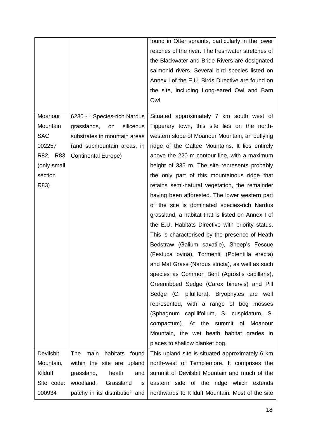|                  |                                | found in Otter spraints, particularly in the lower |
|------------------|--------------------------------|----------------------------------------------------|
|                  |                                | reaches of the river. The freshwater stretches of  |
|                  |                                | the Blackwater and Bride Rivers are designated     |
|                  |                                | salmonid rivers. Several bird species listed on    |
|                  |                                | Annex I of the E.U. Birds Directive are found on   |
|                  |                                | the site, including Long-eared Owl and Barn        |
|                  |                                | Owl.                                               |
| Moanour          |                                |                                                    |
|                  | 6230 - * Species-rich Nardus   | Situated approximately 7 km south west of          |
| Mountain         | grasslands,<br>siliceous<br>on | Tipperary town, this site lies on the north-       |
| <b>SAC</b>       | substrates in mountain areas   | western slope of Moanour Mountain, an outlying     |
| 002257           | (and submountain areas, in     | ridge of the Galtee Mountains. It lies entirely    |
| R82, R83         | <b>Continental Europe)</b>     | above the 220 m contour line, with a maximum       |
| (only small      |                                | height of 335 m. The site represents probably      |
| section          |                                | the only part of this mountainous ridge that       |
| R83)             |                                | retains semi-natural vegetation, the remainder     |
|                  |                                | having been afforested. The lower western part     |
|                  |                                | of the site is dominated species-rich Nardus       |
|                  |                                | grassland, a habitat that is listed on Annex I of  |
|                  |                                | the E.U. Habitats Directive with priority status.  |
|                  |                                | This is characterised by the presence of Heath     |
|                  |                                | Bedstraw (Galium saxatile), Sheep's Fescue         |
|                  |                                | (Festuca ovina), Tormentil (Potentilla erecta)     |
|                  |                                | and Mat Grass (Nardus stricta), as well as such    |
|                  |                                | species as Common Bent (Agrostis capillaris),      |
|                  |                                | Greenribbed Sedge (Carex binervis) and Pill        |
|                  |                                | Sedge (C. pilulifera). Bryophytes are well         |
|                  |                                | represented, with a range of bog mosses            |
|                  |                                | (Sphagnum capillifolium, S. cuspidatum, S.         |
|                  |                                | compactum). At the summit of Moanour               |
|                  |                                | Mountain, the wet heath habitat grades in          |
|                  |                                | places to shallow blanket bog.                     |
| <b>Devilsbit</b> | main habitats found<br>The     | This upland site is situated approximately 6 km    |
| Mountain,        | within the site are upland     | north-west of Templemore. It comprises the         |
| Kilduff          | grassland,<br>heath<br>and     | summit of Devilsbit Mountain and much of the       |
| Site code:       | woodland.<br>Grassland<br>is   | eastern side of the ridge which extends            |
| 000934           | patchy in its distribution and | northwards to Kilduff Mountain. Most of the site   |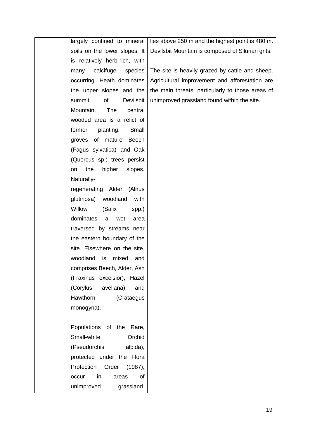| largely confined to mineral        | lies above 250 m and the highest point is 480 m.  |
|------------------------------------|---------------------------------------------------|
| soils on the lower slopes. It      | Devilsbit Mountain is composed of Silurian grits. |
| is relatively herb-rich, with      |                                                   |
| calcifuge<br>species<br>many       | The site is heavily grazed by cattle and sheep.   |
| occurring. Heath dominates         | Agricultural improvement and afforestation are    |
| the upper slopes and the           | the main threats, particularly to those areas of  |
| of<br>Devilsbit<br>summit          | unimproved grassland found within the site.       |
| Mountain.<br><b>The</b><br>central |                                                   |
| wooded area is a relict of         |                                                   |
| planting.<br>former<br>Small       |                                                   |
| groves of mature Beech             |                                                   |
| (Fagus sylvatica) and Oak          |                                                   |
| (Quercus sp.) trees persist        |                                                   |
| the<br>higher<br>slopes.<br>on     |                                                   |
| Naturally-                         |                                                   |
| regenerating Alder<br>(Alnus       |                                                   |
| woodland<br>glutinosa)<br>with     |                                                   |
| Willow<br>(Salix<br>spp.)          |                                                   |
| dominates<br>a<br>wet<br>area      |                                                   |
| traversed by streams near          |                                                   |
| the eastern boundary of the        |                                                   |
| site. Elsewhere on the site,       |                                                   |
| woodland is<br>mixed<br>and        |                                                   |
| comprises Beech, Alder, Ash        |                                                   |
| (Fraxinus excelsior), Hazel        |                                                   |
| (Corylus<br>avellana)<br>and       |                                                   |
| Hawthorn<br>(Crataegus             |                                                   |
| monogyna).                         |                                                   |
|                                    |                                                   |
| Populations of the Rare,           |                                                   |
| Small-white<br>Orchid              |                                                   |
| albida),<br>(Pseudorchis           |                                                   |
| protected under the Flora          |                                                   |
| Protection Order<br>(1987),        |                                                   |
| in<br>of<br>occur<br>areas         |                                                   |
| unimproved<br>grassland.           |                                                   |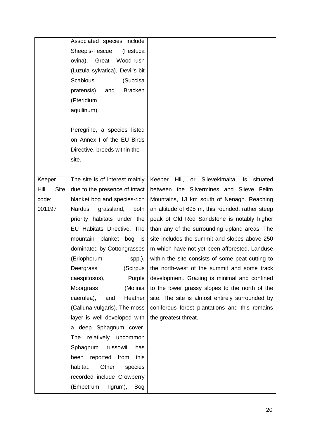|                     | Associated species include          |                                                     |
|---------------------|-------------------------------------|-----------------------------------------------------|
|                     | (Festuca<br>Sheep's-Fescue          |                                                     |
|                     | ovina), Great<br>Wood-rush          |                                                     |
|                     | (Luzula sylvatica), Devil's-bit     |                                                     |
|                     | Scabious<br>(Succisa                |                                                     |
|                     | <b>Bracken</b><br>pratensis)<br>and |                                                     |
|                     | (Pteridium                          |                                                     |
|                     | aquilinum).                         |                                                     |
|                     |                                     |                                                     |
|                     | Peregrine, a species listed         |                                                     |
|                     | on Annex I of the EU Birds          |                                                     |
|                     | Directive, breeds within the        |                                                     |
|                     | site.                               |                                                     |
|                     |                                     |                                                     |
| Keeper              | The site is of interest mainly      | or Slievekimalta, is<br>Hill,<br>Keeper<br>situated |
| Hill<br><b>Site</b> | due to the presence of intact       | between the Silvermines and Slieve Felim            |
| code:               | blanket bog and species-rich        | Mountains, 13 km south of Nenagh. Reaching          |
| 001197              | Nardus<br>grassland,<br>both        | an altitude of 695 m, this rounded, rather steep    |
|                     | priority habitats under the         | peak of Old Red Sandstone is notably higher         |
|                     | EU Habitats Directive. The          | than any of the surrounding upland areas. The       |
|                     | mountain<br>blanket bog<br>is       | site includes the summit and slopes above 250       |
|                     | dominated by Cottongrasses          | m which have not yet been afforested. Landuse       |
|                     | (Eriophorum<br>$spp.$ ),            | within the site consists of some peat cutting to    |
|                     | (Scirpus<br>Deergrass               | the north-west of the summit and some track         |
|                     | Purple<br>caespitosus),             | development. Grazing is minimal and confined        |
|                     | Moorgrass<br>(Molinia               | to the lower grassy slopes to the north of the      |
|                     | Heather<br>caerulea),<br>and        | site. The site is almost entirely surrounded by     |
|                     | (Calluna vulgaris). The moss        | coniferous forest plantations and this remains      |
|                     | layer is well developed with        | the greatest threat.                                |
|                     | a deep Sphagnum cover.              |                                                     |
|                     | <b>The</b><br>relatively uncommon   |                                                     |
|                     | Sphagnum russowii<br>has            |                                                     |
|                     | been reported from<br>this          |                                                     |
|                     | Other<br>habitat.<br>species        |                                                     |
|                     | recorded include Crowberry          |                                                     |
|                     | (Empetrum<br>nigrum),<br><b>Bog</b> |                                                     |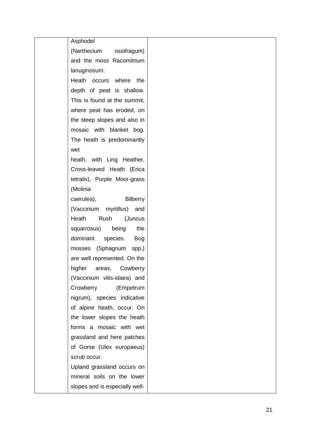| Asphodel                       |  |
|--------------------------------|--|
| (Narthecium ossifragum)        |  |
| and the moss Racomitrium       |  |
| lanuginosum.                   |  |
| Heath occurs where the         |  |
| depth of peat is shallow.      |  |
| This is found at the summit,   |  |
| where peat has eroded, on      |  |
| the steep slopes and also in   |  |
| mosaic with blanket bog.       |  |
| The heath is predominantly     |  |
| wet                            |  |
| heath, with Ling Heather,      |  |
| Cross-leaved Heath (Erica      |  |
|                                |  |
| tetralix), Purple Moor-grass   |  |
| (Molinia                       |  |
| Bilberry<br>caerulea),         |  |
| (Vaccinium myrtillus) and      |  |
| Heath<br>Rush (Juncus          |  |
| squarrosus) being<br>the       |  |
| dominant species.<br>Bog       |  |
| mosses (Sphagnum spp.)         |  |
| are well represented. On the   |  |
| higher areas, Cowberry         |  |
| (Vaccinium vitis-idaea) and    |  |
| Crowberry<br>(Empetrum         |  |
| nigrum), species indicative    |  |
| of alpine heath, occur. On     |  |
| the lower slopes the heath     |  |
| forms a mosaic with wet        |  |
| grassland and here patches     |  |
| of Gorse (Ulex europaeus)      |  |
| scrub occur.                   |  |
| Upland grassland occurs on     |  |
| mineral soils on the lower     |  |
| slopes and is especially well- |  |
|                                |  |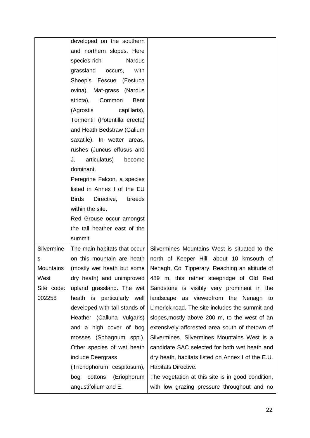|            | developed on the southern            |                                                   |
|------------|--------------------------------------|---------------------------------------------------|
|            | and northern slopes. Here            |                                                   |
|            | species-rich<br>Nardus               |                                                   |
|            | grassland occurs,<br>with            |                                                   |
|            | Sheep's Fescue (Festuca              |                                                   |
|            | ovina), Mat-grass (Nardus            |                                                   |
|            | stricta), Common<br>Bent             |                                                   |
|            | capillaris),<br>(Agrostis            |                                                   |
|            | Tormentil (Potentilla erecta)        |                                                   |
|            | and Heath Bedstraw (Galium           |                                                   |
|            | saxatile). In wetter areas,          |                                                   |
|            | rushes (Juncus effusus and           |                                                   |
|            | articulatus)<br>J.<br>become         |                                                   |
|            | dominant.                            |                                                   |
|            | Peregrine Falcon, a species          |                                                   |
|            | listed in Annex I of the EU          |                                                   |
|            | <b>Birds</b><br>Directive,<br>breeds |                                                   |
|            | within the site.                     |                                                   |
|            | Red Grouse occur amongst             |                                                   |
|            | the tall heather east of the         |                                                   |
|            | summit.                              |                                                   |
| Silvermine | The main habitats that occur         | Silvermines Mountains West is situated to the     |
| s          | on this mountain are heath           | north of Keeper Hill, about 10 kmsouth of         |
| Mountains  | (mostly wet heath but some           | Nenagh, Co. Tipperary. Reaching an altitude of    |
| West       | dry heath) and unimproved            | 489 m, this rather steepridge of Old Red          |
| Site code: | upland grassland. The wet            | Sandstone is visibly very prominent in the        |
| 002258     | heath is particularly well           | landscape as viewedfrom the Nenagh to             |
|            | developed with tall stands of        | Limerick road. The site includes the summit and   |
|            | Heather (Calluna vulgaris)           | slopes, mostly above 200 m, to the west of an     |
|            | and a high cover of bog              | extensively afforested area south of thetown of   |
|            | mosses (Sphagnum spp.).              | Silvermines. Silvermines Mountains West is a      |
|            | Other species of wet heath           | candidate SAC selected for both wet heath and     |
|            | include Deergrass                    | dry heath, habitats listed on Annex I of the E.U. |
|            | (Trichophorum cespitosum),           | Habitats Directive.                               |
|            | cottons<br>(Eriophorum<br>bog        | The vegetation at this site is in good condition, |
|            | angustifolium and E.                 | with low grazing pressure throughout and no       |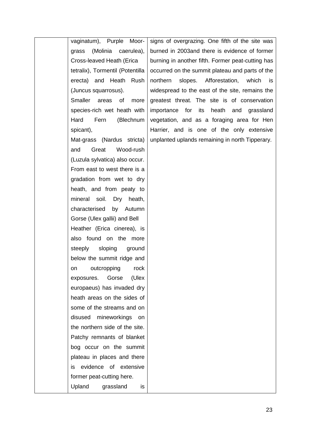| vaginatum), Purple Moor-         | signs of overgrazing. One fifth of the site was      |
|----------------------------------|------------------------------------------------------|
| (Molinia caerulea),<br>grass     | burned in 2003and there is evidence of former        |
| Cross-leaved Heath (Erica        | burning in another fifth. Former peat-cutting has    |
| tetralix), Tormentil (Potentilla | occurred on the summit plateau and parts of the      |
| erecta) and Heath Rush           | northern<br>slopes.<br>Afforestation,<br>which<br>is |
| (Juncus squarrosus).             | widespread to the east of the site, remains the      |
| Smaller<br>areas<br>οf<br>more   | greatest threat. The site is of conservation         |
| species-rich wet heath with      | heath and<br>importance for its<br>grassland         |
| Hard<br>Fern<br>(Blechnum        | vegetation, and as a foraging area for Hen           |
| spicant),                        | Harrier, and is one of the only extensive            |
| Mat-grass (Nardus stricta)       | unplanted uplands remaining in north Tipperary.      |
| Great<br>Wood-rush<br>and        |                                                      |
| (Luzula sylvatica) also occur.   |                                                      |
| From east to west there is a     |                                                      |
| gradation from wet to dry        |                                                      |
| heath, and from peaty to         |                                                      |
| mineral soil.<br>Dry<br>heath,   |                                                      |
| characterised<br>by Autumn       |                                                      |
| Gorse (Ulex gallii) and Bell     |                                                      |
| Heather (Erica cinerea), is      |                                                      |
| also found on the more           |                                                      |
| sloping<br>steeply<br>ground     |                                                      |
| below the summit ridge and       |                                                      |
| on outcropping<br>rock           |                                                      |
| Gorse<br>exposures.<br>(Ulex     |                                                      |
| europaeus) has invaded dry       |                                                      |
| heath areas on the sides of      |                                                      |
| some of the streams and on       |                                                      |
| disused mineworkings on          |                                                      |
| the northern side of the site.   |                                                      |
| Patchy remnants of blanket       |                                                      |
| bog occur on the summit          |                                                      |
| plateau in places and there      |                                                      |
| evidence of extensive<br>İS.     |                                                      |
| former peat-cutting here.        |                                                      |
| Upland<br>grassland<br>is        |                                                      |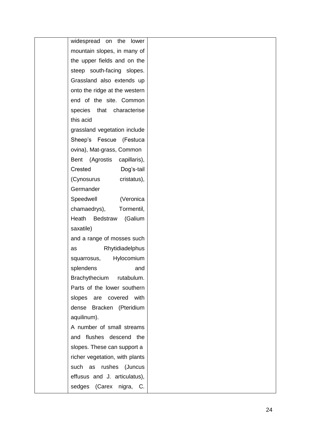| widespread on the lower        |     |
|--------------------------------|-----|
| mountain slopes, in many of    |     |
| the upper fields and on the    |     |
| steep south-facing slopes.     |     |
| Grassland also extends up      |     |
| onto the ridge at the western  |     |
| end of the site. Common        |     |
| species that characterise      |     |
| this acid                      |     |
| grassland vegetation include   |     |
| Sheep's Fescue (Festuca        |     |
| ovina), Mat-grass, Common      |     |
| Bent (Agrostis capillaris),    |     |
| Crested<br>Dog's-tail          |     |
| (Cynosurus<br>cristatus),      |     |
| Germander                      |     |
| Speedwell<br>(Veronica         |     |
| chamaedrys),<br>Tormentil,     |     |
| Heath<br>(Galium<br>Bedstraw   |     |
| saxatile)                      |     |
| and a range of mosses such     |     |
| Rhytidiadelphus<br>as          |     |
| Hylocomium<br>squarrosus,      |     |
| splendens                      | and |
| Brachythecium rutabulum.       |     |
| Parts of the lower southern    |     |
| slopes are covered with        |     |
| dense Bracken (Pteridium       |     |
| aquilinum).                    |     |
| A number of small streams      |     |
| and flushes descend the        |     |
| slopes. These can support a    |     |
| richer vegetation, with plants |     |
| such as rushes (Juncus         |     |
| effusus and J. articulatus),   |     |
| sedges (Carex nigra, C.        |     |
|                                |     |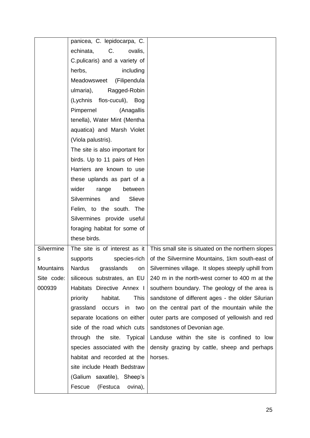|            | panicea, C. lepidocarpa, C.         |                                                    |
|------------|-------------------------------------|----------------------------------------------------|
|            | echinata,<br>C.<br>ovalis,          |                                                    |
|            | C.pulicaris) and a variety of       |                                                    |
|            | herbs,<br>including                 |                                                    |
|            | Meadowsweet<br>(Filipendula         |                                                    |
|            | ulmaria),<br>Ragged-Robin           |                                                    |
|            | flos-cuculi), Bog<br>(Lychnis       |                                                    |
|            | Pimpernel<br>(Anagallis             |                                                    |
|            | tenella), Water Mint (Mentha        |                                                    |
|            | aquatica) and Marsh Violet          |                                                    |
|            | (Viola palustris).                  |                                                    |
|            | The site is also important for      |                                                    |
|            | birds. Up to 11 pairs of Hen        |                                                    |
|            | Harriers are known to use           |                                                    |
|            | these uplands as part of a          |                                                    |
|            | wider<br>range<br>between           |                                                    |
|            | <b>Silvermines</b><br>Slieve<br>and |                                                    |
|            | Felim, to the south. The            |                                                    |
|            | Silvermines provide useful          |                                                    |
|            | foraging habitat for some of        |                                                    |
|            | these birds.                        |                                                    |
| Silvermine | The site is of interest as it       | This small site is situated on the northern slopes |
| s          | supports<br>species-rich            | of the Silvermine Mountains, 1km south-east of     |
| Mountains  | grasslands<br>Nardus<br>on          | Silvermines village. It slopes steeply uphill from |
| Site code: | siliceous substrates, an EU         | 240 m in the north-west corner to 400 m at the     |
| 000939     | Habitats Directive Annex I          | southern boundary. The geology of the area is      |
|            | habitat.<br>This<br>priority        | sandstone of different ages - the older Silurian   |
|            | grassland<br>occurs in two          | on the central part of the mountain while the      |
|            | separate locations on either        | outer parts are composed of yellowish and red      |
|            | side of the road which cuts         | sandstones of Devonian age.                        |
|            | through the site. Typical           | Landuse within the site is confined to low         |
|            | species associated with the         | density grazing by cattle, sheep and perhaps       |
|            | habitat and recorded at the         | horses.                                            |
|            | site include Heath Bedstraw         |                                                    |
|            | (Galium saxatile), Sheep's          |                                                    |
|            | Fescue<br>(Festuca<br>ovina),       |                                                    |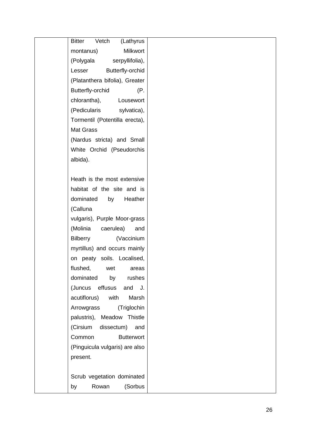| Vetch<br><b>Bitter</b><br>(Lathyrus |
|-------------------------------------|
| Milkwort<br>montanus)               |
| (Polygala<br>serpyllifolia),        |
| Butterfly-orchid<br>Lesser          |
| (Platanthera bifolia), Greater      |
| Butterfly-orchid<br>(P.             |
| chlorantha),<br>Lousewort           |
| (Pedicularis sylvatica),            |
|                                     |
| Tormentil (Potentilla erecta),      |
| <b>Mat Grass</b>                    |
| (Nardus stricta) and Small          |
| White Orchid (Pseudorchis           |
| albida).                            |
|                                     |
| Heath is the most extensive         |
| habitat of the site and is          |
| dominated<br>Heather<br>by          |
| (Calluna                            |
| vulgaris), Purple Moor-grass        |
| (Molinia<br>caerulea)<br>and        |
| Bilberry<br>(Vaccinium              |
| myrtillus) and occurs mainly        |
| on peaty soils. Localised,          |
| flushed,<br>wet<br>areas            |
| dominated<br>rushes<br>by           |
| (Juncus<br>effusus<br>and J.        |
| acutiflorus)<br>with<br>Marsh       |
| Arrowgrass<br>(Triglochin           |
| palustris), Meadow Thistle          |
| (Cirsium<br>dissectum)<br>and       |
| Common                              |
| <b>Butterwort</b>                   |
| (Pinguicula vulgaris) are also      |
| present.                            |
|                                     |
| Scrub vegetation dominated          |
| Rowan<br>(Sorbus<br>by              |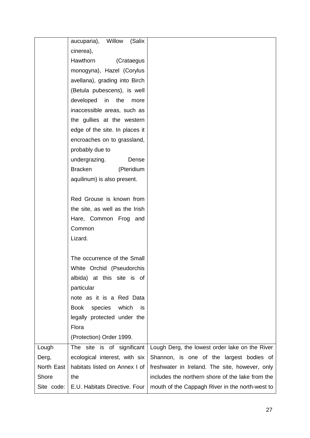|            | Willow<br>aucuparia),<br>(Salix        |                                                  |
|------------|----------------------------------------|--------------------------------------------------|
|            | cinerea),                              |                                                  |
|            | Hawthorn<br>(Crataegus                 |                                                  |
|            | monogyna), Hazel (Corylus              |                                                  |
|            | avellana), grading into Birch          |                                                  |
|            | (Betula pubescens), is well            |                                                  |
|            | developed<br>in<br>the<br>more         |                                                  |
|            | inaccessible areas, such as            |                                                  |
|            | the gullies at the western             |                                                  |
|            | edge of the site. In places it         |                                                  |
|            | encroaches on to grassland,            |                                                  |
|            | probably due to                        |                                                  |
|            | undergrazing.<br>Dense                 |                                                  |
|            | <b>Bracken</b><br>(Pteridium           |                                                  |
|            | aquilinum) is also present.            |                                                  |
|            |                                        |                                                  |
|            | Red Grouse is known from               |                                                  |
|            | the site, as well as the Irish         |                                                  |
|            | Hare, Common Frog and                  |                                                  |
|            | Common                                 |                                                  |
|            | Lizard.                                |                                                  |
|            |                                        |                                                  |
|            | The occurrence of the Small            |                                                  |
|            | White Orchid (Pseudorchis              |                                                  |
|            | albida) at this site is of             |                                                  |
|            | particular                             |                                                  |
|            | note as it is a Red Data               |                                                  |
|            | <b>Book</b><br>species<br>which<br>is. |                                                  |
|            | legally protected under the            |                                                  |
|            | Flora                                  |                                                  |
|            | (Protection) Order 1999.               |                                                  |
| Lough      | The site is of significant             | Lough Derg, the lowest order lake on the River   |
| Derg,      | ecological interest, with six          | Shannon, is one of the largest bodies of         |
| North East | habitats listed on Annex I of          | freshwater in Ireland. The site, however, only   |
| Shore      | the                                    | includes the northern shore of the lake from the |
| Site code: | E.U. Habitats Directive. Four          | mouth of the Cappagh River in the north-west to  |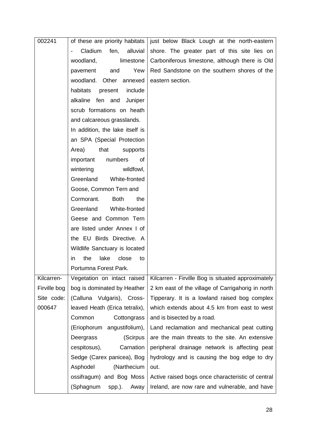| 002241       | of these are priority habitats                          | just below Black Lough at the north-eastern        |
|--------------|---------------------------------------------------------|----------------------------------------------------|
|              | Cladium<br>alluvial<br>fen,<br>$\overline{\phantom{0}}$ | shore. The greater part of this site lies on       |
|              | woodland,<br>limestone                                  | Carboniferous limestone, although there is Old     |
|              | Yew<br>pavement<br>and                                  | Red Sandstone on the southern shores of the        |
|              | woodland. Other<br>annexed                              | eastern section.                                   |
|              | habitats<br>present<br>include                          |                                                    |
|              | alkaline<br>fen and<br>Juniper                          |                                                    |
|              | scrub formations on heath                               |                                                    |
|              | and calcareous grasslands.                              |                                                    |
|              | In addition, the lake itself is                         |                                                    |
|              | an SPA (Special Protection                              |                                                    |
|              | that<br>Area)<br>supports                               |                                                    |
|              | numbers<br>important<br>of                              |                                                    |
|              | wildfowl,<br>wintering                                  |                                                    |
|              | White-fronted<br>Greenland                              |                                                    |
|              | Goose, Common Tern and                                  |                                                    |
|              | Cormorant.<br><b>Both</b><br>the                        |                                                    |
|              | Greenland<br>White-fronted                              |                                                    |
|              | Geese and Common Tern                                   |                                                    |
|              | are listed under Annex I of                             |                                                    |
|              | the EU Birds Directive. A                               |                                                    |
|              | Wildlife Sanctuary is located                           |                                                    |
|              | close<br>the<br>lake<br>to<br>$\mathsf{I}$              |                                                    |
|              | Portumna Forest Park.                                   |                                                    |
| Kilcarren-   | Vegetation on intact raised                             | Kilcarren - Firville Bog is situated approximately |
| Firville bog | bog is dominated by Heather                             | 2 km east of the village of Carrigahorig in north  |
| Site code:   | (Calluna Vulgaris), Cross-                              | Tipperary. It is a lowland raised bog complex      |
| 000647       | leaved Heath (Erica tetralix),                          | which extends about 4.5 km from east to west       |
|              | Common<br>Cottongrass                                   | and is bisected by a road.                         |
|              | (Eriophorum angustifolium),                             | Land reclamation and mechanical peat cutting       |
|              | Deergrass<br>(Scirpus                                   | are the main threats to the site. An extensive     |
|              | cespitosus),<br>Carnation                               | peripheral drainage network is affecting peat      |
|              | Sedge (Carex panicea), Bog                              | hydrology and is causing the bog edge to dry       |
|              | Asphodel<br>(Narthecium                                 | out.                                               |
|              | ossifragum) and Bog Moss                                | Active raised bogs once characteristic of central  |
|              | (Sphagnum<br>spp.).<br>Away                             | Ireland, are now rare and vulnerable, and have     |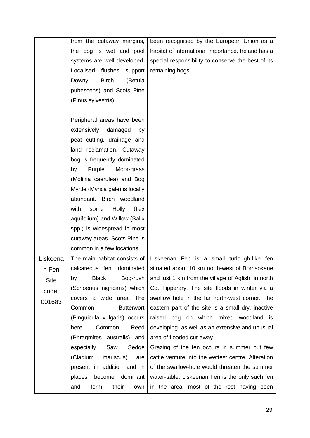|             | from the cutaway margins,        | been recognised by the European Union as a                                 |
|-------------|----------------------------------|----------------------------------------------------------------------------|
|             | the bog is wet and pool          | habitat of international importance. Ireland has a                         |
|             | systems are well developed.      | special responsibility to conserve the best of its                         |
|             | Localised<br>flushes<br>support  | remaining bogs.                                                            |
|             | <b>Birch</b><br>Downy<br>(Betula |                                                                            |
|             | pubescens) and Scots Pine        |                                                                            |
|             | (Pinus sylvestris).              |                                                                            |
|             |                                  |                                                                            |
|             | Peripheral areas have been       |                                                                            |
|             | extensively<br>damaged<br>by     |                                                                            |
|             | peat cutting, drainage and       |                                                                            |
|             | land reclamation. Cutaway        |                                                                            |
|             | bog is frequently dominated      |                                                                            |
|             | Purple<br>Moor-grass<br>by       |                                                                            |
|             | (Molinia caerulea) and Bog       |                                                                            |
|             | Myrtle (Myrica gale) is locally  |                                                                            |
|             | abundant. Birch woodland         |                                                                            |
|             | Holly<br>(llex)<br>with<br>some  |                                                                            |
|             | aquifolium) and Willow (Salix    |                                                                            |
|             | spp.) is widespread in most      |                                                                            |
|             | cutaway areas. Scots Pine is     |                                                                            |
|             | common in a few locations.       |                                                                            |
| Liskeena    | The main habitat consists of     | Liskeenan Fen is a small turlough-like fen                                 |
| n Fen       |                                  | calcareous fen, dominated   situated about 10 km north-west of Borrisokane |
| <b>Site</b> | <b>Black</b><br>Bog-rush<br>by   | and just 1 km from the village of Aglish, in north                         |
| code:       | (Schoenus nigricans) which       | Co. Tipperary. The site floods in winter via a                             |
| 001683      | covers a wide area. The          | swallow hole in the far north-west corner. The                             |
|             | Common<br><b>Butterwort</b>      | eastern part of the site is a small dry, inactive                          |
|             | (Pinguicula vulgaris) occurs     | raised bog on which mixed woodland is                                      |
|             | Common<br>Reed<br>here.          | developing, as well as an extensive and unusual                            |
|             | (Phragmites australis) and       | area of flooded cut-away.                                                  |
|             | especially<br>Saw<br>Sedge       | Grazing of the fen occurs in summer but few                                |
|             | (Cladium<br>mariscus)<br>are     | cattle venture into the wettest centre. Alteration                         |
|             | present in addition and in       | of the swallow-hole would threaten the summer                              |
|             | dominant<br>places<br>become     | water-table. Liskeenan Fen is the only such fen                            |
|             | form<br>their<br>and<br>own      | in the area, most of the rest having been                                  |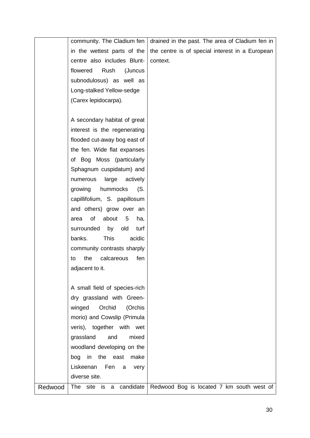|         | community. The Cladium fen              | drained in the past. The area of Cladium fen in |
|---------|-----------------------------------------|-------------------------------------------------|
|         | in the wettest parts of the             | the centre is of special interest in a European |
|         | centre also includes Blunt-             | context.                                        |
|         | flowered<br>Rush<br>(Juncus             |                                                 |
|         | subnodulosus) as well as                |                                                 |
|         | Long-stalked Yellow-sedge               |                                                 |
|         | (Carex lepidocarpa).                    |                                                 |
|         |                                         |                                                 |
|         | A secondary habitat of great            |                                                 |
|         | interest is the regenerating            |                                                 |
|         | flooded cut-away bog east of            |                                                 |
|         | the fen. Wide flat expanses             |                                                 |
|         | of Bog Moss (particularly               |                                                 |
|         | Sphagnum cuspidatum) and                |                                                 |
|         | large<br>numerous<br>actively           |                                                 |
|         | hummocks<br>(S.<br>growing              |                                                 |
|         | capillifolium, S. papillosum            |                                                 |
|         | and others) grow over an                |                                                 |
|         | of<br>about<br>5<br>ha,<br>area         |                                                 |
|         | surrounded<br>old<br>by<br>turf         |                                                 |
|         | banks.<br><b>This</b><br>acidic         |                                                 |
|         | community contrasts sharply             |                                                 |
|         | the<br>calcareous<br>fen<br>to          |                                                 |
|         | adjacent to it.                         |                                                 |
|         |                                         |                                                 |
|         | A small field of species-rich           |                                                 |
|         | dry grassland with Green-               |                                                 |
|         | Orchid<br>winged<br>(Orchis             |                                                 |
|         | morio) and Cowslip (Primula             |                                                 |
|         | veris), together with wet               |                                                 |
|         | grassland<br>and<br>mixed               |                                                 |
|         | woodland developing on the              |                                                 |
|         | bog in the east<br>make                 |                                                 |
|         | Liskeenan<br>Fen<br>very<br>a           |                                                 |
|         | diverse site.                           |                                                 |
| Redwood | <b>The</b><br>site<br>candidate<br>is a | Redwood Bog is located 7 km south west of       |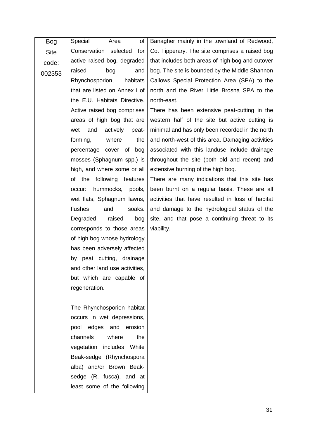| Bog         | of<br>Special<br>Area           | Banagher mainly in the townland of Redwood,      |
|-------------|---------------------------------|--------------------------------------------------|
| <b>Site</b> | Conservation selected<br>for    | Co. Tipperary. The site comprises a raised bog   |
| code:       | active raised bog, degraded     | that includes both areas of high bog and cutover |
| 002353      | raised<br>bog<br>and            | bog. The site is bounded by the Middle Shannon   |
|             | Rhynchosporion,<br>habitats     | Callows Special Protection Area (SPA) to the     |
|             | that are listed on Annex I of   | north and the River Little Brosna SPA to the     |
|             | the E.U. Habitats Directive.    | north-east.                                      |
|             | Active raised bog comprises     | There has been extensive peat-cutting in the     |
|             | areas of high bog that are      | western half of the site but active cutting is   |
|             | and<br>actively<br>peat-<br>wet | minimal and has only been recorded in the north  |
|             | forming,<br>where<br>the        | and north-west of this area. Damaging activities |
|             | percentage cover of bog         | associated with this landuse include drainage    |
|             | mosses (Sphagnum spp.) is       | throughout the site (both old and recent) and    |
|             | high, and where some or all     | extensive burning of the high bog.               |
|             | following<br>of the<br>features | There are many indications that this site has    |
|             | hummocks, pools,<br>occur:      | been burnt on a regular basis. These are all     |
|             | wet flats, Sphagnum lawns,      | activities that have resulted in loss of habitat |
|             | flushes<br>soaks.<br>and        | and damage to the hydrological status of the     |
|             | Degraded<br>raised<br>bog       | site, and that pose a continuing threat to its   |
|             | corresponds to those areas      | viability.                                       |
|             | of high bog whose hydrology     |                                                  |
|             | has been adversely affected     |                                                  |
|             | by peat cutting, drainage       |                                                  |
|             | and other land use activities,  |                                                  |
|             | but which are capable of        |                                                  |
|             | regeneration.                   |                                                  |
|             |                                 |                                                  |
|             | The Rhynchosporion habitat      |                                                  |
|             | occurs in wet depressions,      |                                                  |
|             | pool edges and erosion          |                                                  |
|             | channels<br>where<br>the        |                                                  |
|             | vegetation includes White       |                                                  |
|             | Beak-sedge (Rhynchospora        |                                                  |
|             | alba) and/or Brown Beak-        |                                                  |
|             | sedge (R. fusca), and at        |                                                  |
|             | least some of the following     |                                                  |
|             |                                 |                                                  |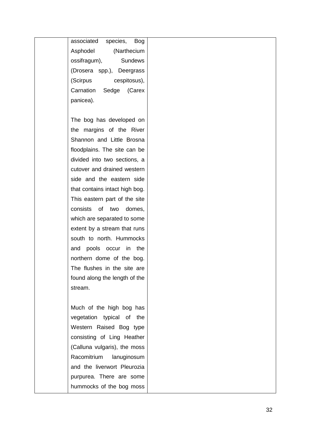associated species, Bog Asphodel (Narthecium ossifragum), Sundews (Drosera spp.), Deergrass (Scirpus cespitosus), Carnation Sedge (Carex panicea).

The bog has developed on the margins of the River Shannon and Little Brosna floodplains. The site can be divided into two sections, a cutover and drained western side and the eastern side that contains intact high bog. This eastern part of the site consists of two domes, which are separated to some extent by a stream that runs south to north. Hummocks and pools occur in the northern dome of the bog. The flushes in the site are found along the length of the stream.

Much of the high bog has vegetation typical of the Western Raised Bog type consisting of Ling Heather (Calluna vulgaris), the moss Racomitrium lanuginosum and the liverwort Pleurozia purpurea. There are some hummocks of the bog moss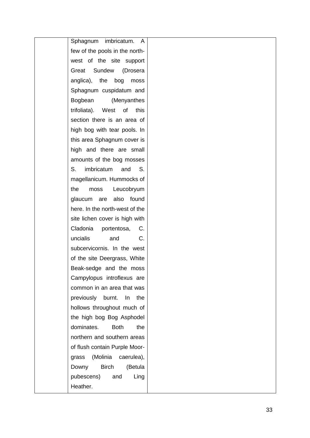| imbricatum.<br>Sphagnum<br>A       |
|------------------------------------|
| few of the pools in the north-     |
| west of the site support           |
| Great Sundew<br>(Drosera           |
| anglica), the<br>bog<br>moss       |
| Sphagnum cuspidatum and            |
| Bogbean<br>(Menyanthes             |
| trifoliata). West of this          |
| section there is an area of        |
| high bog with tear pools. In       |
| this area Sphagnum cover is        |
| high and there are small           |
|                                    |
| amounts of the bog mosses          |
| $S_{-}$<br>imbricatum<br>and<br>S. |
| magellanicum. Hummocks of          |
| Leucobryum<br>moss<br>the          |
| glaucum are also found             |
| here. In the north-west of the     |
| site lichen cover is high with     |
| Cladonia<br>portentosa,<br>C.      |
| uncialis<br>C.<br>and              |
| subcervicornis. In the west        |
| of the site Deergrass, White       |
| Beak-sedge and the moss            |
| Campylopus introflexus are         |
| common in an area that was         |
| previously burnt.<br>In the        |
| hollows throughout much of         |
| the high bog Bog Asphodel          |
| dominates.<br><b>Both</b><br>the   |
| northern and southern areas        |
|                                    |
| of flush contain Purple Moor-      |
| (Molinia<br>caerulea),<br>grass    |
| <b>Birch</b><br>(Betula<br>Downy   |
| pubescens)<br>and<br>Ling          |
| Heather.                           |